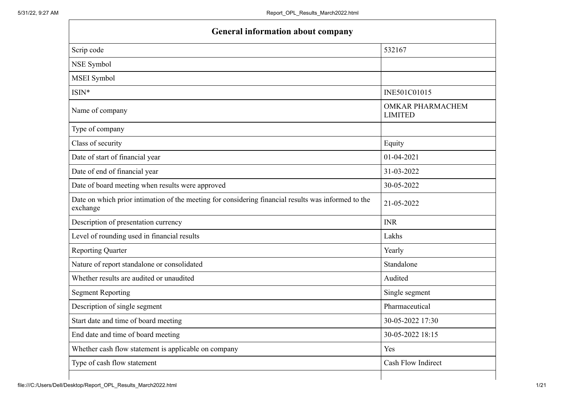**r** 

| <b>General information about company</b>                                                                        |                                    |
|-----------------------------------------------------------------------------------------------------------------|------------------------------------|
| Scrip code                                                                                                      | 532167                             |
| NSE Symbol                                                                                                      |                                    |
| MSEI Symbol                                                                                                     |                                    |
| ISIN*                                                                                                           | INE501C01015                       |
| Name of company                                                                                                 | OMKAR PHARMACHEM<br><b>LIMITED</b> |
| Type of company                                                                                                 |                                    |
| Class of security                                                                                               | Equity                             |
| Date of start of financial year                                                                                 | 01-04-2021                         |
| Date of end of financial year                                                                                   | 31-03-2022                         |
| Date of board meeting when results were approved                                                                | 30-05-2022                         |
| Date on which prior intimation of the meeting for considering financial results was informed to the<br>exchange | 21-05-2022                         |
| Description of presentation currency                                                                            | <b>INR</b>                         |
| Level of rounding used in financial results                                                                     | Lakhs                              |
| <b>Reporting Quarter</b>                                                                                        | Yearly                             |
| Nature of report standalone or consolidated                                                                     | Standalone                         |
| Whether results are audited or unaudited                                                                        | Audited                            |
| <b>Segment Reporting</b>                                                                                        | Single segment                     |
| Description of single segment                                                                                   | Pharmaceutical                     |
| Start date and time of board meeting                                                                            | 30-05-2022 17:30                   |
| End date and time of board meeting                                                                              | 30-05-2022 18:15                   |
| Whether cash flow statement is applicable on company                                                            | Yes                                |
| Type of cash flow statement                                                                                     | Cash Flow Indirect                 |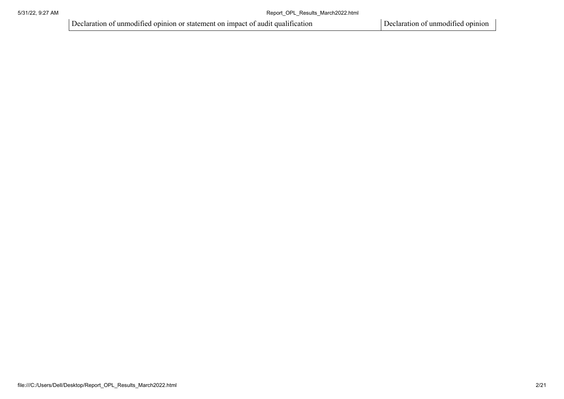Declaration of unmodified opinion or statement on impact of audit qualification | Declaration of unmodified opinion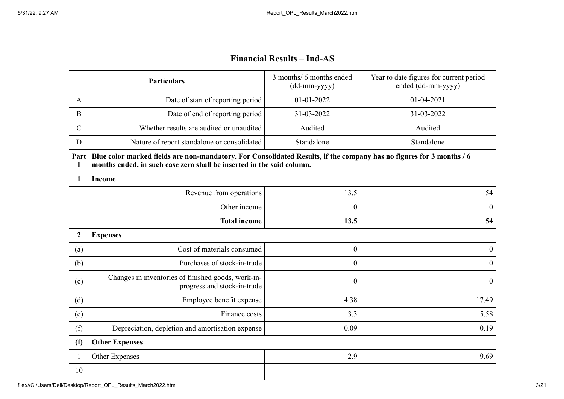| <b>Financial Results - Ind-AS</b> |                                                                                                                                                                                               |                                          |                                                               |  |
|-----------------------------------|-----------------------------------------------------------------------------------------------------------------------------------------------------------------------------------------------|------------------------------------------|---------------------------------------------------------------|--|
|                                   | <b>Particulars</b>                                                                                                                                                                            | 3 months/ 6 months ended<br>(dd-mm-yyyy) | Year to date figures for current period<br>ended (dd-mm-yyyy) |  |
| A                                 | Date of start of reporting period                                                                                                                                                             | 01-01-2022                               | 01-04-2021                                                    |  |
| $\, {\bf B}$                      | Date of end of reporting period                                                                                                                                                               | 31-03-2022                               | 31-03-2022                                                    |  |
| $\mathcal{C}$                     | Whether results are audited or unaudited                                                                                                                                                      | Audited                                  | Audited                                                       |  |
| D                                 | Nature of report standalone or consolidated                                                                                                                                                   | Standalone                               | Standalone                                                    |  |
| Part<br>I                         | Blue color marked fields are non-mandatory. For Consolidated Results, if the company has no figures for 3 months / 6<br>months ended, in such case zero shall be inserted in the said column. |                                          |                                                               |  |
| $\mathbf{1}$                      | <b>Income</b>                                                                                                                                                                                 |                                          |                                                               |  |
|                                   | Revenue from operations                                                                                                                                                                       | 13.5                                     | 54                                                            |  |
|                                   | Other income                                                                                                                                                                                  | $\overline{0}$                           | $\boldsymbol{0}$                                              |  |
|                                   | <b>Total income</b>                                                                                                                                                                           | 13.5                                     | 54                                                            |  |
| $\mathbf{2}$                      | <b>Expenses</b>                                                                                                                                                                               |                                          |                                                               |  |
| (a)                               | Cost of materials consumed                                                                                                                                                                    | $\boldsymbol{0}$                         | $\boldsymbol{0}$                                              |  |
| (b)                               | Purchases of stock-in-trade                                                                                                                                                                   | $\overline{0}$                           | $\boldsymbol{0}$                                              |  |
| (c)                               | Changes in inventories of finished goods, work-in-<br>progress and stock-in-trade                                                                                                             | $\mathbf{0}$                             | $\overline{0}$                                                |  |
| (d)                               | Employee benefit expense                                                                                                                                                                      | 4.38                                     | 17.49                                                         |  |
| (e)                               | Finance costs                                                                                                                                                                                 | 3.3                                      | 5.58                                                          |  |
| (f)                               | Depreciation, depletion and amortisation expense                                                                                                                                              | 0.09                                     | 0.19                                                          |  |
| (f)                               | <b>Other Expenses</b>                                                                                                                                                                         |                                          |                                                               |  |
| $\mathbf{1}$                      | Other Expenses                                                                                                                                                                                | 2.9                                      | 9.69                                                          |  |
| 10                                |                                                                                                                                                                                               |                                          |                                                               |  |
|                                   |                                                                                                                                                                                               |                                          |                                                               |  |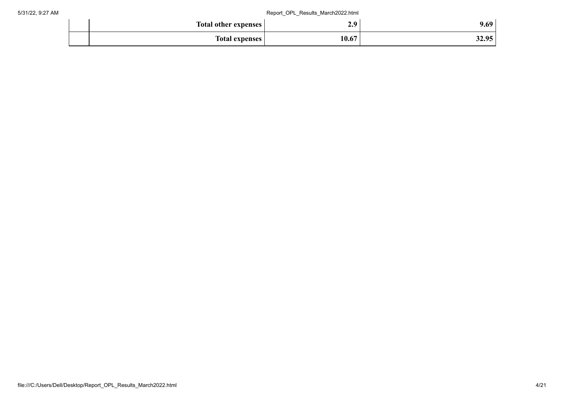5/31/22, 9:27 AM Report\_OPL\_Results\_March2022.html

| Total other expenses  | ره ڪ  | .69   |
|-----------------------|-------|-------|
| <b>Total expenses</b> | 10.67 | 32.95 |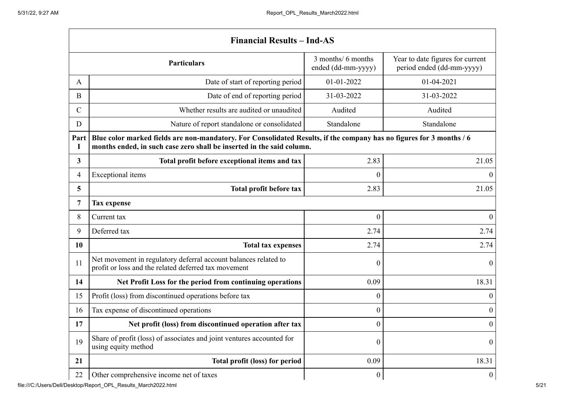|                | <b>Financial Results - Ind-AS</b>                                                                                                                                                             |                                          |                                                               |  |  |
|----------------|-----------------------------------------------------------------------------------------------------------------------------------------------------------------------------------------------|------------------------------------------|---------------------------------------------------------------|--|--|
|                | Particulars                                                                                                                                                                                   | 3 months/ 6 months<br>ended (dd-mm-yyyy) | Year to date figures for current<br>period ended (dd-mm-yyyy) |  |  |
| A              | Date of start of reporting period                                                                                                                                                             | $01 - 01 - 2022$                         | 01-04-2021                                                    |  |  |
| B              | Date of end of reporting period                                                                                                                                                               | 31-03-2022                               | 31-03-2022                                                    |  |  |
| $\mathbf C$    | Whether results are audited or unaudited                                                                                                                                                      | Audited                                  | Audited                                                       |  |  |
| D              | Nature of report standalone or consolidated                                                                                                                                                   | Standalone                               | Standalone                                                    |  |  |
| Part<br>I      | Blue color marked fields are non-mandatory. For Consolidated Results, if the company has no figures for 3 months / 6<br>months ended, in such case zero shall be inserted in the said column. |                                          |                                                               |  |  |
| $\mathbf{3}$   | Total profit before exceptional items and tax                                                                                                                                                 | 2.83                                     | 21.05                                                         |  |  |
| 4              | Exceptional items                                                                                                                                                                             | $\mathbf{0}$                             | $\mathbf{0}$                                                  |  |  |
| 5              | Total profit before tax                                                                                                                                                                       | 2.83                                     | 21.05                                                         |  |  |
| $\overline{7}$ | <b>Tax expense</b>                                                                                                                                                                            |                                          |                                                               |  |  |
| 8              | Current tax                                                                                                                                                                                   | $\boldsymbol{0}$                         | $\boldsymbol{0}$                                              |  |  |
| 9              | Deferred tax                                                                                                                                                                                  | 2.74                                     | 2.74                                                          |  |  |
| 10             | <b>Total tax expenses</b>                                                                                                                                                                     | 2.74                                     | 2.74                                                          |  |  |
| 11             | Net movement in regulatory deferral account balances related to<br>profit or loss and the related deferred tax movement                                                                       | $\boldsymbol{0}$                         | $\boldsymbol{0}$                                              |  |  |
| 14             | Net Profit Loss for the period from continuing operations                                                                                                                                     | 0.09                                     | 18.31                                                         |  |  |
| 15             | Profit (loss) from discontinued operations before tax                                                                                                                                         | $\theta$                                 | $\boldsymbol{0}$                                              |  |  |
| 16             | Tax expense of discontinued operations                                                                                                                                                        | $\boldsymbol{0}$                         | $\boldsymbol{0}$                                              |  |  |
| 17             | Net profit (loss) from discontinued operation after tax                                                                                                                                       | $\overline{0}$                           | $\mathbf{0}$                                                  |  |  |
| 19             | Share of profit (loss) of associates and joint ventures accounted for<br>using equity method                                                                                                  | $\mathbf{0}$                             | $\theta$                                                      |  |  |
| 21             | Total profit (loss) for period                                                                                                                                                                | 0.09                                     | 18.31                                                         |  |  |
| 22             | Other comprehensive income net of taxes                                                                                                                                                       | $\boldsymbol{0}$                         | $\boldsymbol{0}$                                              |  |  |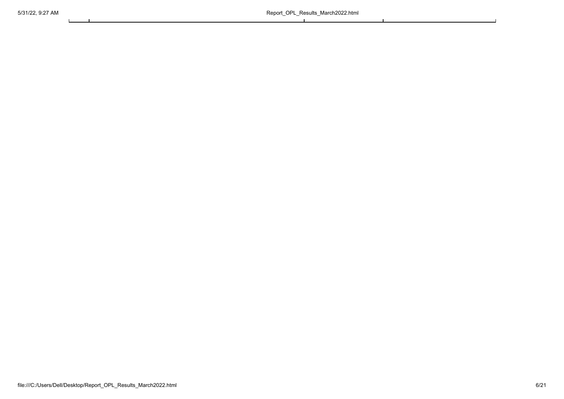÷.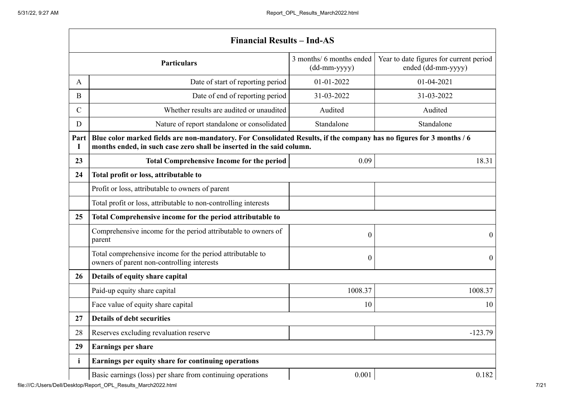| <b>Financial Results - Ind-AS</b> |                                                                                                                                                                                               |                  |                |  |  |  |
|-----------------------------------|-----------------------------------------------------------------------------------------------------------------------------------------------------------------------------------------------|------------------|----------------|--|--|--|
|                                   | 3 months/ 6 months ended<br>Year to date figures for current period<br><b>Particulars</b><br>(dd-mm-yyyy)<br>ended (dd-mm-yyyy)                                                               |                  |                |  |  |  |
| A                                 | Date of start of reporting period                                                                                                                                                             | 01-01-2022       | 01-04-2021     |  |  |  |
| B                                 | Date of end of reporting period                                                                                                                                                               | 31-03-2022       | 31-03-2022     |  |  |  |
| $\mathcal{C}$                     | Whether results are audited or unaudited                                                                                                                                                      | Audited          | Audited        |  |  |  |
| D                                 | Nature of report standalone or consolidated                                                                                                                                                   | Standalone       | Standalone     |  |  |  |
| Part<br>L                         | Blue color marked fields are non-mandatory. For Consolidated Results, if the company has no figures for 3 months / 6<br>months ended, in such case zero shall be inserted in the said column. |                  |                |  |  |  |
| 23                                | 0.09<br>18.31<br><b>Total Comprehensive Income for the period</b>                                                                                                                             |                  |                |  |  |  |
| 24                                | Total profit or loss, attributable to                                                                                                                                                         |                  |                |  |  |  |
|                                   | Profit or loss, attributable to owners of parent                                                                                                                                              |                  |                |  |  |  |
|                                   | Total profit or loss, attributable to non-controlling interests                                                                                                                               |                  |                |  |  |  |
| 25                                | Total Comprehensive income for the period attributable to                                                                                                                                     |                  |                |  |  |  |
|                                   | Comprehensive income for the period attributable to owners of<br>parent                                                                                                                       | $\boldsymbol{0}$ | $\Omega$       |  |  |  |
|                                   | Total comprehensive income for the period attributable to<br>owners of parent non-controlling interests                                                                                       | $\theta$         | $\overline{0}$ |  |  |  |
| 26                                | Details of equity share capital                                                                                                                                                               |                  |                |  |  |  |
|                                   | Paid-up equity share capital                                                                                                                                                                  | 1008.37          | 1008.37        |  |  |  |
|                                   | Face value of equity share capital                                                                                                                                                            | 10               | 10             |  |  |  |
| 27                                | <b>Details of debt securities</b>                                                                                                                                                             |                  |                |  |  |  |
| 28                                | Reserves excluding revaluation reserve                                                                                                                                                        |                  | $-123.79$      |  |  |  |
| 29                                | Earnings per share                                                                                                                                                                            |                  |                |  |  |  |
| i                                 | Earnings per equity share for continuing operations                                                                                                                                           |                  |                |  |  |  |
|                                   | Basic earnings (loss) per share from continuing operations                                                                                                                                    | 0.001            | 0.182          |  |  |  |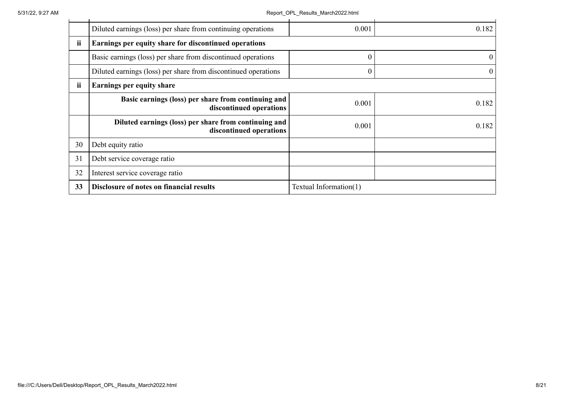|           | Diluted earnings (loss) per share from continuing operations                     | 0.001                  | 0.182    |
|-----------|----------------------------------------------------------------------------------|------------------------|----------|
| <b>ii</b> | Earnings per equity share for discontinued operations                            |                        |          |
|           | Basic earnings (loss) per share from discontinued operations                     | $\theta$               | $\theta$ |
|           | Diluted earnings (loss) per share from discontinued operations                   | $\overline{0}$         | $\theta$ |
| <i>ii</i> | Earnings per equity share                                                        |                        |          |
|           | Basic earnings (loss) per share from continuing and<br>discontinued operations   | 0.001                  | 0.182    |
|           | Diluted earnings (loss) per share from continuing and<br>discontinued operations | 0.001                  | 0.182    |
| 30        | Debt equity ratio                                                                |                        |          |
| 31        | Debt service coverage ratio                                                      |                        |          |
| 32        | Interest service coverage ratio                                                  |                        |          |
| 33        | Disclosure of notes on financial results                                         | Textual Information(1) |          |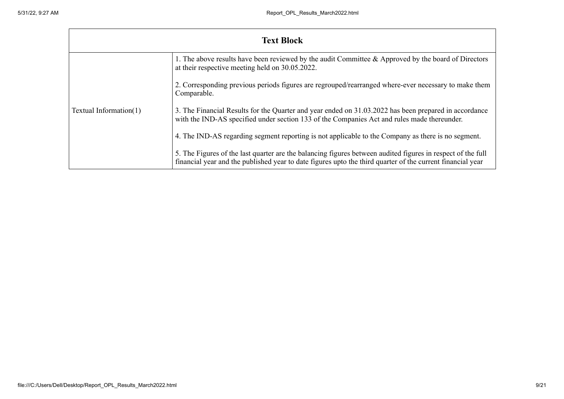| <b>Text Block</b>      |                                                                                                                                                                                                                           |  |  |
|------------------------|---------------------------------------------------------------------------------------------------------------------------------------------------------------------------------------------------------------------------|--|--|
|                        | 1. The above results have been reviewed by the audit Committee & Approved by the board of Directors<br>at their respective meeting held on 30.05.2022.                                                                    |  |  |
|                        | 2. Corresponding previous periods figures are regrouped/rearranged where-ever necessary to make them<br>Comparable.                                                                                                       |  |  |
| Textual Information(1) | 3. The Financial Results for the Quarter and year ended on 31.03.2022 has been prepared in accordance<br>with the IND-AS specified under section 133 of the Companies Act and rules made thereunder.                      |  |  |
|                        | 4. The IND-AS regarding segment reporting is not applicable to the Company as there is no segment.                                                                                                                        |  |  |
|                        | 5. The Figures of the last quarter are the balancing figures between audited figures in respect of the full<br>financial year and the published year to date figures upto the third quarter of the current financial year |  |  |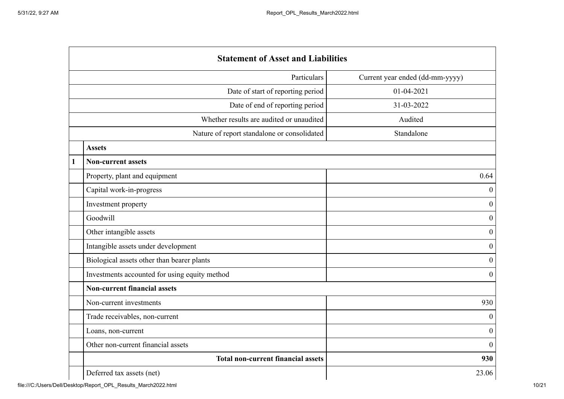|                                             | <b>Statement of Asset and Liabilities</b>     |                                 |  |  |
|---------------------------------------------|-----------------------------------------------|---------------------------------|--|--|
|                                             | Particulars                                   | Current year ended (dd-mm-yyyy) |  |  |
|                                             | Date of start of reporting period             | 01-04-2021                      |  |  |
|                                             | Date of end of reporting period               | 31-03-2022                      |  |  |
|                                             | Whether results are audited or unaudited      | Audited                         |  |  |
| Nature of report standalone or consolidated |                                               | Standalone                      |  |  |
|                                             | <b>Assets</b>                                 |                                 |  |  |
| 1                                           | <b>Non-current assets</b>                     |                                 |  |  |
|                                             | Property, plant and equipment                 | 0.64                            |  |  |
|                                             | Capital work-in-progress                      | $\theta$                        |  |  |
|                                             | Investment property                           | $\theta$                        |  |  |
|                                             | Goodwill                                      | $\boldsymbol{0}$                |  |  |
|                                             | Other intangible assets                       | $\boldsymbol{0}$                |  |  |
|                                             | Intangible assets under development           | $\overline{0}$                  |  |  |
|                                             | Biological assets other than bearer plants    | $\boldsymbol{0}$                |  |  |
|                                             | Investments accounted for using equity method | $\theta$                        |  |  |
|                                             | <b>Non-current financial assets</b>           |                                 |  |  |
|                                             | Non-current investments                       | 930                             |  |  |
|                                             | Trade receivables, non-current                | $\boldsymbol{0}$                |  |  |
|                                             | Loans, non-current                            | $\boldsymbol{0}$                |  |  |
|                                             | Other non-current financial assets            | $\overline{0}$                  |  |  |
|                                             | <b>Total non-current financial assets</b>     | 930                             |  |  |
|                                             | Deferred tax assets (net)                     | 23.06                           |  |  |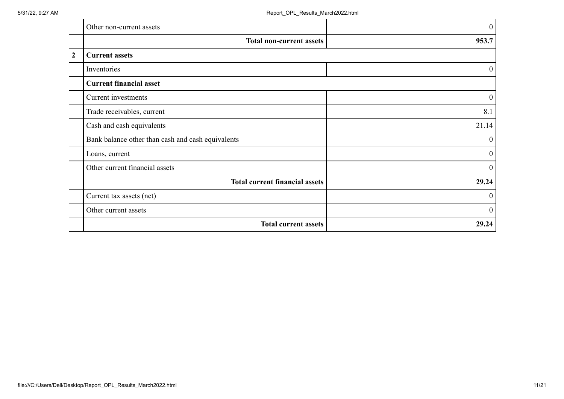|                | Other non-current assets                          | $\mathbf{0}$ |
|----------------|---------------------------------------------------|--------------|
|                | <b>Total non-current assets</b>                   | 953.7        |
| $\overline{2}$ | <b>Current assets</b>                             |              |
|                | Inventories                                       | $\theta$     |
|                | <b>Current financial asset</b>                    |              |
|                | Current investments                               | $\theta$     |
|                | Trade receivables, current                        | 8.1          |
|                | Cash and cash equivalents                         | 21.14        |
|                | Bank balance other than cash and cash equivalents | $\theta$     |
|                | Loans, current                                    | $\Omega$     |
|                | Other current financial assets                    | $\Omega$     |
|                | <b>Total current financial assets</b>             | 29.24        |
|                | Current tax assets (net)                          | $\theta$     |
|                | Other current assets                              | $\Omega$     |
|                | <b>Total current assets</b>                       | 29.24        |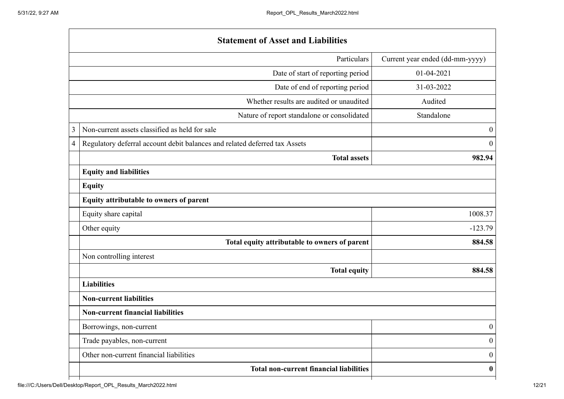|                | <b>Statement of Asset and Liabilities</b>                                  |                                 |  |
|----------------|----------------------------------------------------------------------------|---------------------------------|--|
|                | Particulars                                                                | Current year ended (dd-mm-yyyy) |  |
|                | Date of start of reporting period                                          | 01-04-2021                      |  |
|                | Date of end of reporting period                                            | 31-03-2022                      |  |
|                | Whether results are audited or unaudited                                   | Audited                         |  |
|                | Nature of report standalone or consolidated                                | Standalone                      |  |
| 3              | Non-current assets classified as held for sale                             | $\boldsymbol{0}$                |  |
| $\overline{4}$ | Regulatory deferral account debit balances and related deferred tax Assets | $\Omega$                        |  |
|                | <b>Total assets</b>                                                        | 982.94                          |  |
|                | <b>Equity and liabilities</b>                                              |                                 |  |
|                | <b>Equity</b>                                                              |                                 |  |
|                | Equity attributable to owners of parent                                    |                                 |  |
|                | Equity share capital                                                       | 1008.37                         |  |
|                | Other equity                                                               | $-123.79$                       |  |
|                | Total equity attributable to owners of parent                              | 884.58                          |  |
|                | Non controlling interest                                                   |                                 |  |
|                | <b>Total equity</b>                                                        | 884.58                          |  |
|                | <b>Liabilities</b>                                                         |                                 |  |
|                | <b>Non-current liabilities</b>                                             |                                 |  |
|                | <b>Non-current financial liabilities</b>                                   |                                 |  |
|                | Borrowings, non-current                                                    | $\boldsymbol{0}$                |  |
|                | Trade payables, non-current                                                | $\boldsymbol{0}$                |  |
|                | Other non-current financial liabilities                                    | $\boldsymbol{0}$                |  |
|                | <b>Total non-current financial liabilities</b>                             | $\boldsymbol{0}$                |  |
|                |                                                                            |                                 |  |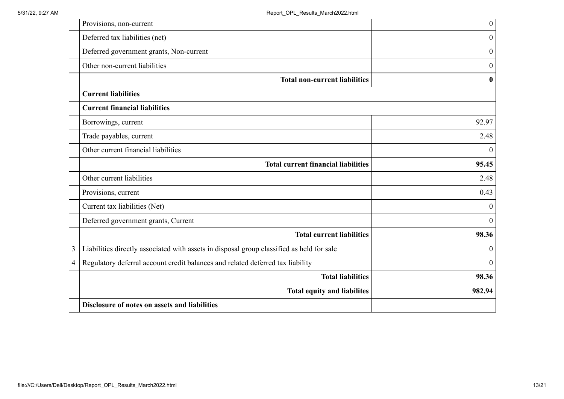| Provisions, non-current                                                                                   | $\overline{0}$   |
|-----------------------------------------------------------------------------------------------------------|------------------|
| Deferred tax liabilities (net)                                                                            | $\boldsymbol{0}$ |
| Deferred government grants, Non-current                                                                   | $\theta$         |
| Other non-current liabilities                                                                             | $\boldsymbol{0}$ |
| <b>Total non-current liabilities</b>                                                                      | $\bf{0}$         |
| <b>Current liabilities</b>                                                                                |                  |
| <b>Current financial liabilities</b>                                                                      |                  |
| Borrowings, current                                                                                       | 92.97            |
| Trade payables, current                                                                                   | 2.48             |
| Other current financial liabilities                                                                       | $\Omega$         |
| <b>Total current financial liabilities</b>                                                                | 95.45            |
| Other current liabilities                                                                                 | 2.48             |
| Provisions, current                                                                                       | 0.43             |
| Current tax liabilities (Net)                                                                             | $\theta$         |
| Deferred government grants, Current                                                                       | $\Omega$         |
| <b>Total current liabilities</b>                                                                          | 98.36            |
| 3<br>Liabilities directly associated with assets in disposal group classified as held for sale            | $\Omega$         |
| $\overline{\mathbf{4}}$<br>Regulatory deferral account credit balances and related deferred tax liability | $\boldsymbol{0}$ |
| <b>Total liabilities</b>                                                                                  | 98.36            |
| <b>Total equity and liabilites</b>                                                                        | 982.94           |
| Disclosure of notes on assets and liabilities                                                             |                  |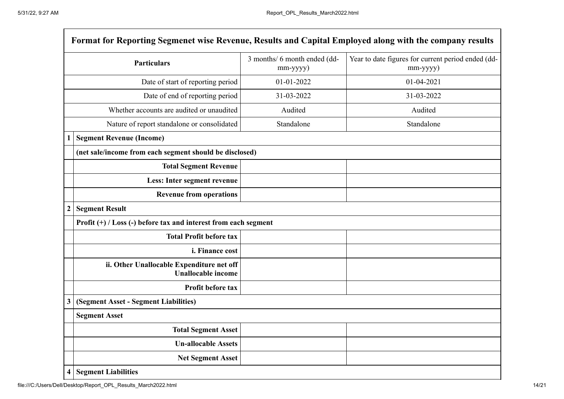|                         | Format for Reporting Segmenet wise Revenue, Results and Capital Employed along with the company results |                                          |                                                                |  |  |
|-------------------------|---------------------------------------------------------------------------------------------------------|------------------------------------------|----------------------------------------------------------------|--|--|
|                         | <b>Particulars</b>                                                                                      | 3 months/ 6 month ended (dd-<br>mm-yyyy) | Year to date figures for current period ended (dd-<br>mm-yyyy) |  |  |
|                         | Date of start of reporting period                                                                       | 01-01-2022                               | 01-04-2021                                                     |  |  |
|                         | Date of end of reporting period                                                                         | 31-03-2022                               | 31-03-2022                                                     |  |  |
|                         | Whether accounts are audited or unaudited                                                               | Audited                                  | Audited                                                        |  |  |
|                         | Nature of report standalone or consolidated                                                             | Standalone                               | Standalone                                                     |  |  |
|                         | <b>Segment Revenue (Income)</b>                                                                         |                                          |                                                                |  |  |
|                         | (net sale/income from each segment should be disclosed)                                                 |                                          |                                                                |  |  |
|                         | <b>Total Segment Revenue</b>                                                                            |                                          |                                                                |  |  |
|                         | Less: Inter segment revenue                                                                             |                                          |                                                                |  |  |
|                         | <b>Revenue from operations</b>                                                                          |                                          |                                                                |  |  |
| 2                       | <b>Segment Result</b>                                                                                   |                                          |                                                                |  |  |
|                         | Profit (+) / Loss (-) before tax and interest from each segment                                         |                                          |                                                                |  |  |
|                         | <b>Total Profit before tax</b>                                                                          |                                          |                                                                |  |  |
|                         | i. Finance cost                                                                                         |                                          |                                                                |  |  |
|                         | ii. Other Unallocable Expenditure net off<br><b>Unallocable income</b>                                  |                                          |                                                                |  |  |
|                         | Profit before tax                                                                                       |                                          |                                                                |  |  |
| $\overline{\mathbf{3}}$ | (Segment Asset - Segment Liabilities)                                                                   |                                          |                                                                |  |  |
|                         | <b>Segment Asset</b>                                                                                    |                                          |                                                                |  |  |
|                         | <b>Total Segment Asset</b>                                                                              |                                          |                                                                |  |  |
|                         | <b>Un-allocable Assets</b>                                                                              |                                          |                                                                |  |  |
|                         | <b>Net Segment Asset</b>                                                                                |                                          |                                                                |  |  |
|                         | 4 Segment Liabilities                                                                                   |                                          |                                                                |  |  |

┑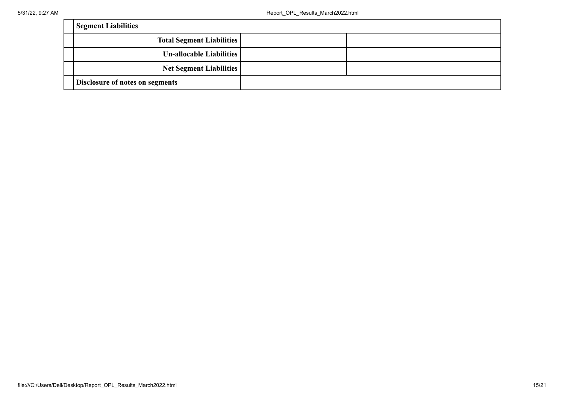| <b>Segment Liabilities</b>       |  |
|----------------------------------|--|
| <b>Total Segment Liabilities</b> |  |
| <b>Un-allocable Liabilities</b>  |  |
| <b>Net Segment Liabilities</b>   |  |
| Disclosure of notes on segments  |  |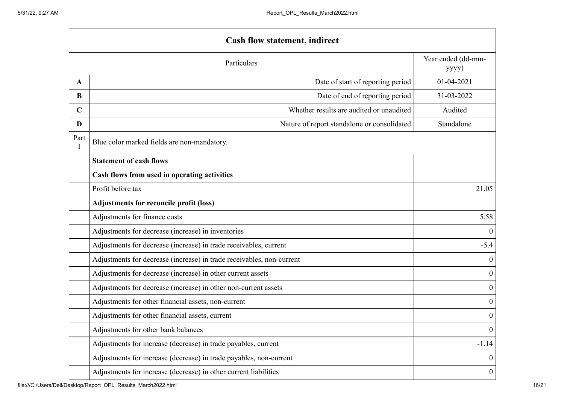| <b>Cash flow statement, indirect</b> |                                                                       |                             |  |
|--------------------------------------|-----------------------------------------------------------------------|-----------------------------|--|
| Particulars                          |                                                                       | Year ended (dd-mm-<br>yyyy) |  |
| A                                    | Date of start of reporting period                                     | $01 - 04 - 2021$            |  |
| B                                    | Date of end of reporting period                                       | 31-03-2022                  |  |
| $\mathbf C$                          | Whether results are audited or unaudited                              | Audited                     |  |
| $\mathbf{D}$                         | Nature of report standalone or consolidated                           | Standalone                  |  |
| Part<br>I                            | Blue color marked fields are non-mandatory.                           |                             |  |
|                                      | <b>Statement of cash flows</b>                                        |                             |  |
|                                      | Cash flows from used in operating activities                          |                             |  |
|                                      | Profit before tax                                                     | 21.05                       |  |
|                                      | <b>Adjustments for reconcile profit (loss)</b>                        |                             |  |
|                                      | Adjustments for finance costs                                         | 5.58                        |  |
|                                      | Adjustments for decrease (increase) in inventories                    | $\theta$                    |  |
|                                      | Adjustments for decrease (increase) in trade receivables, current     | $-5.4$                      |  |
|                                      | Adjustments for decrease (increase) in trade receivables, non-current | $\theta$                    |  |
|                                      | Adjustments for decrease (increase) in other current assets           | $\overline{0}$              |  |
|                                      | Adjustments for decrease (increase) in other non-current assets       | $\overline{0}$              |  |
|                                      | Adjustments for other financial assets, non-current                   | $\boldsymbol{0}$            |  |
|                                      | Adjustments for other financial assets, current                       | $\boldsymbol{0}$            |  |
|                                      | Adjustments for other bank balances                                   | $\overline{0}$              |  |
|                                      | Adjustments for increase (decrease) in trade payables, current        | $-1.14$                     |  |
|                                      | Adjustments for increase (decrease) in trade payables, non-current    | $\overline{0}$              |  |
|                                      | Adjustments for increase (decrease) in other current liabilities      | $\boldsymbol{0}$            |  |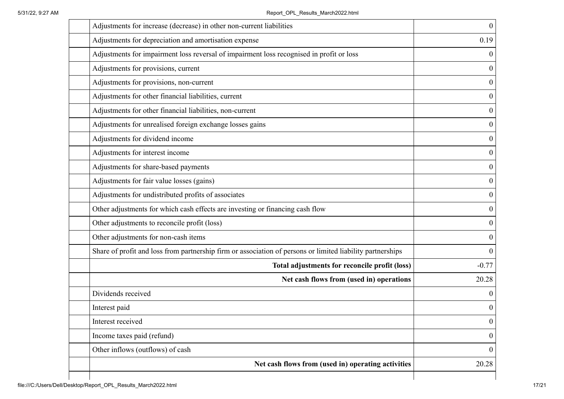|                    | Adjustments for increase (decrease) in other non-current liabilities                                       | $\theta$         |
|--------------------|------------------------------------------------------------------------------------------------------------|------------------|
|                    | Adjustments for depreciation and amortisation expense                                                      | 0.19             |
|                    | Adjustments for impairment loss reversal of impairment loss recognised in profit or loss                   | $\Omega$         |
|                    | Adjustments for provisions, current                                                                        | $\theta$         |
|                    | Adjustments for provisions, non-current                                                                    | $\boldsymbol{0}$ |
|                    | Adjustments for other financial liabilities, current                                                       | $\theta$         |
|                    | Adjustments for other financial liabilities, non-current                                                   | $\theta$         |
|                    | Adjustments for unrealised foreign exchange losses gains                                                   | $\Omega$         |
|                    | Adjustments for dividend income                                                                            | 0                |
|                    | Adjustments for interest income                                                                            | $\Omega$         |
|                    | Adjustments for share-based payments                                                                       | $\theta$         |
|                    | Adjustments for fair value losses (gains)                                                                  | $\Omega$         |
|                    | Adjustments for undistributed profits of associates                                                        | 0                |
|                    | Other adjustments for which cash effects are investing or financing cash flow                              | $\Omega$         |
|                    | Other adjustments to reconcile profit (loss)                                                               | $\theta$         |
|                    | Other adjustments for non-cash items                                                                       | $\Omega$         |
|                    | Share of profit and loss from partnership firm or association of persons or limited liability partnerships | $\boldsymbol{0}$ |
|                    | Total adjustments for reconcile profit (loss)                                                              | $-0.77$          |
|                    | Net cash flows from (used in) operations                                                                   | 20.28            |
| Dividends received |                                                                                                            | $\theta$         |
| Interest paid      |                                                                                                            | $\boldsymbol{0}$ |
| Interest received  |                                                                                                            | $\mathbf{0}$     |
|                    | Income taxes paid (refund)                                                                                 | $\boldsymbol{0}$ |
|                    | Other inflows (outflows) of cash                                                                           | $\theta$         |
|                    | Net cash flows from (used in) operating activities                                                         | 20.28            |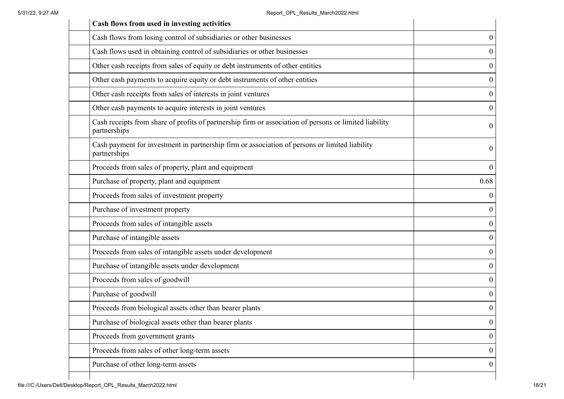5/31/22, 9:27 AM Report\_OPL\_Results\_March2022.html

| Cash flows from used in investing activities                                                                           |                  |
|------------------------------------------------------------------------------------------------------------------------|------------------|
| Cash flows from losing control of subsidiaries or other businesses                                                     | $\theta$         |
| Cash flows used in obtaining control of subsidiaries or other businesses                                               | $\theta$         |
| Other cash receipts from sales of equity or debt instruments of other entities                                         | $\overline{0}$   |
| Other cash payments to acquire equity or debt instruments of other entities                                            | $\Omega$         |
| Other cash receipts from sales of interests in joint ventures                                                          | $\theta$         |
| Other cash payments to acquire interests in joint ventures                                                             | $\Omega$         |
| Cash receipts from share of profits of partnership firm or association of persons or limited liability<br>partnerships | $\theta$         |
| Cash payment for investment in partnership firm or association of persons or limited liability<br>partnerships         | $\theta$         |
| Proceeds from sales of property, plant and equipment                                                                   | $\Omega$         |
| Purchase of property, plant and equipment                                                                              | 0.68             |
| Proceeds from sales of investment property                                                                             | $\theta$         |
| Purchase of investment property                                                                                        | $\Omega$         |
| Proceeds from sales of intangible assets                                                                               | $\Omega$         |
| Purchase of intangible assets                                                                                          | $\Omega$         |
| Proceeds from sales of intangible assets under development                                                             | $\boldsymbol{0}$ |
| Purchase of intangible assets under development                                                                        | $\theta$         |
| Proceeds from sales of goodwill                                                                                        | $\mathbf{0}$     |
| Purchase of goodwill                                                                                                   | $\theta$         |
| Proceeds from biological assets other than bearer plants                                                               | $\boldsymbol{0}$ |
| Purchase of biological assets other than bearer plants                                                                 | $\boldsymbol{0}$ |
| Proceeds from government grants                                                                                        | $\overline{0}$   |
| Proceeds from sales of other long-term assets                                                                          | $\theta$         |
| Purchase of other long-term assets                                                                                     | $\overline{0}$   |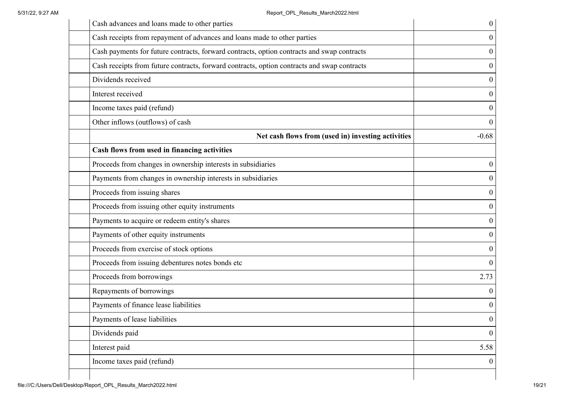| Cash advances and loans made to other parties                                               | 0                |
|---------------------------------------------------------------------------------------------|------------------|
| Cash receipts from repayment of advances and loans made to other parties                    | $\Omega$         |
| Cash payments for future contracts, forward contracts, option contracts and swap contracts  | $\theta$         |
| Cash receipts from future contracts, forward contracts, option contracts and swap contracts | $\overline{0}$   |
| Dividends received                                                                          | $\theta$         |
| Interest received                                                                           | $\theta$         |
| Income taxes paid (refund)                                                                  | $\theta$         |
| Other inflows (outflows) of cash                                                            | $\theta$         |
| Net cash flows from (used in) investing activities                                          | $-0.68$          |
| Cash flows from used in financing activities                                                |                  |
| Proceeds from changes in ownership interests in subsidiaries                                | $\theta$         |
| Payments from changes in ownership interests in subsidiaries                                | $\theta$         |
| Proceeds from issuing shares                                                                | $\theta$         |
| Proceeds from issuing other equity instruments                                              | $\theta$         |
| Payments to acquire or redeem entity's shares                                               | $\theta$         |
| Payments of other equity instruments                                                        | $\theta$         |
| Proceeds from exercise of stock options                                                     | $\theta$         |
| Proceeds from issuing debentures notes bonds etc                                            | 0                |
| Proceeds from borrowings                                                                    | 2.73             |
| Repayments of borrowings                                                                    | $\theta$         |
| Payments of finance lease liabilities                                                       | $\theta$         |
| Payments of lease liabilities                                                               | $\vert 0 \vert$  |
| Dividends paid                                                                              | $\overline{0}$   |
| Interest paid                                                                               | 5.58             |
| Income taxes paid (refund)                                                                  | $\boldsymbol{0}$ |